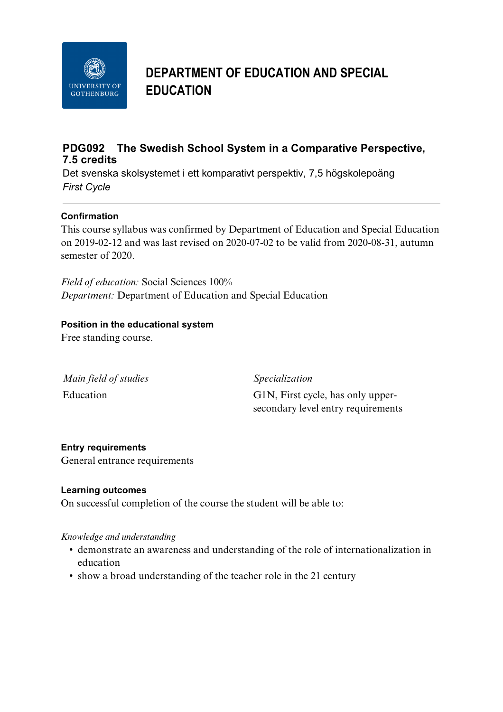

# **DEPARTMENT OF EDUCATION AND SPECIAL EDUCATION**

### **PDG092 The Swedish School System in a Comparative Perspective, 7.5 credits**

Det svenska skolsystemet i ett komparativt perspektiv, 7,5 högskolepoäng *First Cycle*

### **Confirmation**

This course syllabus was confirmed by Department of Education and Special Education on 2019-02-12 and was last revised on 2020-07-02 to be valid from 2020-08-31, autumn semester of 2020.

*Field of education:* Social Sciences 100% *Department:* Department of Education and Special Education

### **Position in the educational system**

Free standing course.

| Main field of studies | <i>Specialization</i>              |
|-----------------------|------------------------------------|
| Education             | G1N, First cycle, has only upper-  |
|                       | secondary level entry requirements |

### **Entry requirements**

General entrance requirements

### **Learning outcomes**

On successful completion of the course the student will be able to:

*Knowledge and understanding*

- demonstrate an awareness and understanding of the role of internationalization in education
- show a broad understanding of the teacher role in the 21 century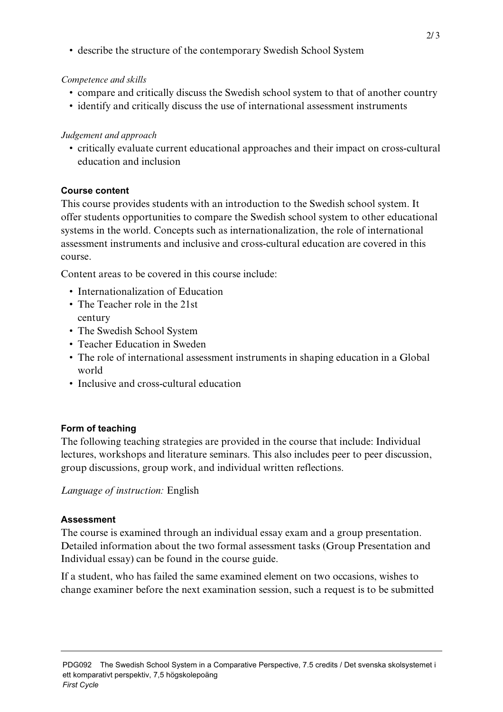• describe the structure of the contemporary Swedish School System

### *Competence and skills*

- compare and critically discuss the Swedish school system to that of another country
- identify and critically discuss the use of international assessment instruments

### *Judgement and approach*

• critically evaluate current educational approaches and their impact on cross-cultural education and inclusion

## **Course content**

This course provides students with an introduction to the Swedish school system. It offer students opportunities to compare the Swedish school system to other educational systems in the world. Concepts such as internationalization, the role of international assessment instruments and inclusive and cross-cultural education are covered in this course.

Content areas to be covered in this course include:

- Internationalization of Education
- The Teacher role in the 21st century
- The Swedish School System
- Teacher Education in Sweden
- The role of international assessment instruments in shaping education in a Global world
- Inclusive and cross-cultural education

# **Form of teaching**

The following teaching strategies are provided in the course that include: Individual lectures, workshops and literature seminars. This also includes peer to peer discussion, group discussions, group work, and individual written reflections.

*Language of instruction:* English

### **Assessment**

The course is examined through an individual essay exam and a group presentation. Detailed information about the two formal assessment tasks (Group Presentation and Individual essay) can be found in the course guide.

If a student, who has failed the same examined element on two occasions, wishes to change examiner before the next examination session, such a request is to be submitted